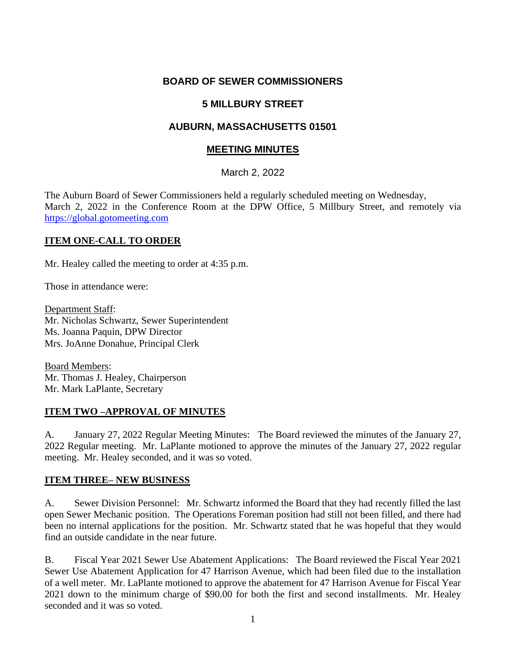## **BOARD OF SEWER COMMISSIONERS**

## **5 MILLBURY STREET**

## **AUBURN, MASSACHUSETTS 01501**

#### **MEETING MINUTES**

#### March 2, 2022

The Auburn Board of Sewer Commissioners held a regularly scheduled meeting on Wednesday, March 2, 2022 in the Conference Room at the DPW Office, 5 Millbury Street, and remotely via [https://global.gotomeeting.com](https://global.gotomeeting.com/)

#### **ITEM ONE-CALL TO ORDER**

Mr. Healey called the meeting to order at 4:35 p.m.

Those in attendance were:

Department Staff: Mr. Nicholas Schwartz, Sewer Superintendent Ms. Joanna Paquin, DPW Director Mrs. JoAnne Donahue, Principal Clerk

Board Members: Mr. Thomas J. Healey, Chairperson Mr. Mark LaPlante, Secretary

#### **ITEM TWO –APPROVAL OF MINUTES**

A. January 27, 2022 Regular Meeting Minutes: The Board reviewed the minutes of the January 27, 2022 Regular meeting. Mr. LaPlante motioned to approve the minutes of the January 27, 2022 regular meeting. Mr. Healey seconded, and it was so voted.

#### **ITEM THREE– NEW BUSINESS**

A. Sewer Division Personnel: Mr. Schwartz informed the Board that they had recently filled the last open Sewer Mechanic position. The Operations Foreman position had still not been filled, and there had been no internal applications for the position. Mr. Schwartz stated that he was hopeful that they would find an outside candidate in the near future.

B. Fiscal Year 2021 Sewer Use Abatement Applications: The Board reviewed the Fiscal Year 2021 Sewer Use Abatement Application for 47 Harrison Avenue, which had been filed due to the installation of a well meter. Mr. LaPlante motioned to approve the abatement for 47 Harrison Avenue for Fiscal Year 2021 down to the minimum charge of \$90.00 for both the first and second installments. Mr. Healey seconded and it was so voted.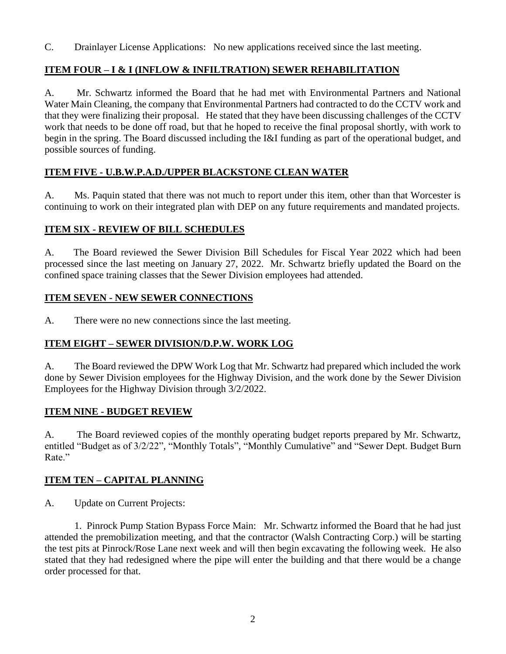C. Drainlayer License Applications: No new applications received since the last meeting.

## **ITEM FOUR – I & I (INFLOW & INFILTRATION) SEWER REHABILITATION**

A. Mr. Schwartz informed the Board that he had met with Environmental Partners and National Water Main Cleaning, the company that Environmental Partners had contracted to do the CCTV work and that they were finalizing their proposal. He stated that they have been discussing challenges of the CCTV work that needs to be done off road, but that he hoped to receive the final proposal shortly, with work to begin in the spring. The Board discussed including the I&I funding as part of the operational budget, and possible sources of funding.

# **ITEM FIVE - U.B.W.P.A.D./UPPER BLACKSTONE CLEAN WATER**

A. Ms. Paquin stated that there was not much to report under this item, other than that Worcester is continuing to work on their integrated plan with DEP on any future requirements and mandated projects.

## **ITEM SIX - REVIEW OF BILL SCHEDULES**

A. The Board reviewed the Sewer Division Bill Schedules for Fiscal Year 2022 which had been processed since the last meeting on January 27, 2022. Mr. Schwartz briefly updated the Board on the confined space training classes that the Sewer Division employees had attended.

## **ITEM SEVEN - NEW SEWER CONNECTIONS**

A. There were no new connections since the last meeting.

## **ITEM EIGHT – SEWER DIVISION/D.P.W. WORK LOG**

A. The Board reviewed the DPW Work Log that Mr. Schwartz had prepared which included the work done by Sewer Division employees for the Highway Division, and the work done by the Sewer Division Employees for the Highway Division through 3/2/2022.

#### **ITEM NINE - BUDGET REVIEW**

A. The Board reviewed copies of the monthly operating budget reports prepared by Mr. Schwartz, entitled "Budget as of 3/2/22", "Monthly Totals", "Monthly Cumulative" and "Sewer Dept. Budget Burn Rate."

## **ITEM TEN – CAPITAL PLANNING**

A. Update on Current Projects:

1. Pinrock Pump Station Bypass Force Main: Mr. Schwartz informed the Board that he had just attended the premobilization meeting, and that the contractor (Walsh Contracting Corp.) will be starting the test pits at Pinrock/Rose Lane next week and will then begin excavating the following week. He also stated that they had redesigned where the pipe will enter the building and that there would be a change order processed for that.